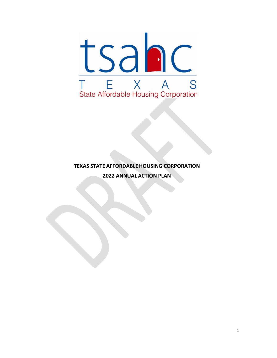

# **TEXAS STATE AFFORDABLEHOUSING CORPORATION ANNUAL ACTION PLAN**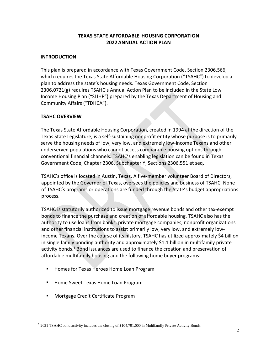# **TEXAS STATE AFFORDABLE HOUSING CORPORATION 2022ANNUAL ACTION PLAN**

### **INTRODUCTION**

This plan is prepared in accordance with Texas Government Code, Section 2306.566, which requires the Texas State Affordable Housing Corporation ("TSAHC") to develop a plan to address the state's housing needs. Texas Government Code, Section 2306.0721(g) requires TSAHC's Annual Action Plan to be included in the State Low Income Housing Plan ("SLIHP") prepared by the Texas Department of Housing and Community Affairs ("TDHCA").

### **TSAHC OVERVIEW**

The Texas State Affordable Housing Corporation, created in 1994 at the direction of the Texas State Legislature, is a self-sustaining nonprofit entity whose purpose is to primarily serve the housing needs of low, very low, and extremely low-income Texans and other underserved populations who cannot access comparable housing options through conventional financial channels. TSAHC's enabling legislation can be found in Texas Government Code, Chapter 2306, Subchapter Y, Sections 2306.551 et seq.

TSAHC's office is located in Austin, Texas. A five-member volunteer Board of Directors, appointed by the Governor of Texas, oversees the policies and business of TSAHC. None of TSAHC's programs or operations are funded through the State's budget appropriations process.

TSAHC is statutorily authorized to issue mortgage revenue bonds and other tax-exempt bonds to finance the purchase and creation of affordable housing. TSAHC also has the authority to use loans from banks, private mortgage companies, nonprofit organizations and other financial institutions to assist primarily low, very low, and extremely lowincome Texans. Over the course of its history, TSAHC has utilized approximately \$4 billion in single family bonding authority and approximately \$1.1 billion in multifamily private activity bonds.<sup>1</sup> Bond issuances are used to finance the creation and preservation of affordable multifamily housing and the following home buyer programs:

- Homes for Texas Heroes Home Loan Program
- Home Sweet Texas Home Loan Program
- Mortgage Credit Certificate Program

<sup>&</sup>lt;sup>1</sup> 2021 TSAHC bond activity includes the closing of \$104,791,000 in Multifamily Private Activity Bonds.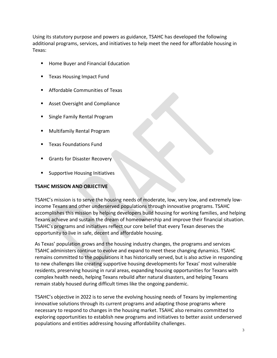Using its statutory purpose and powers as guidance, TSAHC has developed the following additional programs, services, and initiatives to help meet the need for affordable housing in Texas:

- Home Buyer and Financial Education
- Texas Housing Impact Fund
- Affordable Communities of Texas
- Asset Oversight and Compliance
- Single Family Rental Program
- **Multifamily Rental Program**
- **Texas Foundations Fund**
- **Grants for Disaster Recovery**
- Supportive Housing Initiatives

#### **TSAHC MISSION AND OBJECTIVE**

TSAHC's mission is to serve the housing needs of moderate, low, very low, and extremely lowincome Texans and other underserved populations through innovative programs. TSAHC accomplishes this mission by helping developers build housing for working families, and helping Texans achieve and sustain the dream of homeownership and improve their financial situation. TSAHC's programs and initiatives reflect our core belief that every Texan deserves the opportunity to live in safe, decent and affordable housing.

As Texas' population grows and the housing industry changes, the programs and services TSAHC administers continue to evolve and expand to meet these changing dynamics. TSAHC remains committed to the populations it has historically served, but is also active in responding to new challenges like creating supportive housing developments for Texas' most vulnerable residents, preserving housing in rural areas, expanding housing opportunities for Texans with complex health needs, helping Texans rebuild after natural disasters, and helping Texans remain stably housed during difficult times like the ongoing pandemic.

TSAHC's objective in 2022 is to serve the evolving housing needs of Texans by implementing innovative solutions through its current programs and adapting those programs where necessary to respond to changes in the housing market. TSAHC also remains committed to exploring opportunities to establish new programs and initiatives to better assist underserved populations and entities addressing housing affordability challenges.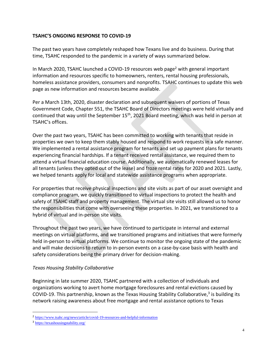# **TSAHC'S ONGOING RESPONSE TO COVID-19**

The past two years have completely reshaped how Texans live and do business. During that time, TSAHC responded to the pandemic in a variety of ways summarized below.

In March 2020, TSAHC launched a COVID-19 resources web page<sup>2</sup> with general important information and resources specific to homeowners, renters, rental housing professionals, homeless assistance providers, consumers and nonprofits. TSAHC continues to update this web page as new information and resources became available.

Per a March 13th, 2020, disaster declaration and subsequent waivers of portions of Texas Government Code, Chapter 551, the TSAHC Board of Directors meetings were held virtually and continued that way until the September 15<sup>th</sup>, 2021 Board meeting, which was held in person at TSAHC's offices.

Over the past two years, TSAHC has been committed to working with tenants that reside in properties we own to keep them stably housed and respond to work requests in a safe manner. We implemented a rental assistance program for tenants and set up payment plans for tenants experiencing financial hardships. If a tenant received rental assistance, we required them to attend a virtual financial education course. Additionally, we automatically renewed leases for all tenants (unless they opted out of the lease) and froze rental rates for 2020 and 2021. Lastly, we helped tenants apply for local and statewide assistance programs when appropriate.

For properties that receive physical inspections and site visits as part of our asset oversight and compliance program, we quickly transitioned to virtual inspections to protect the health and safety of TSAHC staff and property management. The virtual site visits still allowed us to honor the responsibilities that come with overseeing these properties. In 2021, we transitioned to a hybrid of virtual and in-person site visits.

Throughout the past two years, we have continued to participate in internal and external meetings on virtual platforms, and we transitioned programs and initiatives that were formerly held in-person to virtual platforms. We continue to monitor the ongoing state of the pandemic and will make decisions to return to in-person events on a case-by-case basis with health and safety considerations being the primary driver for decision-making.

# *Texas Housing Stability Collaborative*

Beginning in late summer 2020, TSAHC partnered with a collection of individuals and organizations working to avert home mortgage foreclosures and rental evictions caused by COVID-19. This partnership, known as the Texas Housing Stability Collaborative,<sup>3</sup> is building its network raising awareness about free mortgage and rental assistance options to Texas

<sup>&</sup>lt;sup>2</sup> <https://www.tsahc.org/news/article/covid-19-resources-and-helpful-information>

<sup>&</sup>lt;sup>3</sup> <https://texashousingstability.org/>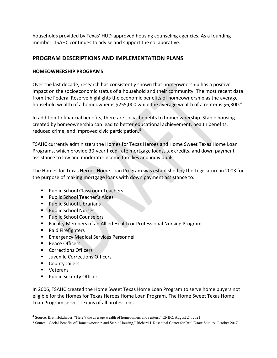households provided by Texas' HUD-approved housing counseling agencies. As a founding member, TSAHC continues to advise and support the collaborative.

# **PROGRAM DESCRIPTIONS AND IMPLEMENTATION PLANS**

### **HOMEOWNERSHIP PROGRAMS**

Over the last decade, research has consistently shown that homeownership has a positive impact on the socioeconomic status of a household and their community. The most recent data from the Federal Reserve highlights the economic benefits of homeownership as the average household wealth of a homeowner is \$255,000 while the average wealth of a renter is \$6,300.<sup>4</sup>

In addition to financial benefits, there are social benefits to homeownership. Stable housing created by homeownership can lead to better educational achievement, health benefits, reduced crime, and improved civic participation. 5

TSAHC currently administers the Homes for Texas Heroes and Home Sweet Texas Home Loan Programs, which provide 30-year fixed-rate mortgage loans, tax credits, and down payment assistance to low and moderate-income families and individuals.

The Homes for Texas Heroes Home Loan Program was established by the Legislature in 2003 for the purpose of making mortgage loans with down payment assistance to:

- Public School Classroom Teachers
- Public School Teacher's Aides
- Public School Librarians
- Public School Nurses
- Public School Counselors
- Faculty Members of an Allied Health or Professional Nursing Program
- Paid Firefighters
- Emergency Medical Services Personnel
- Peace Officers
- Corrections Officers
- Juvenile Corrections Officers
- County Jailers
- Veterans
- Public Security Officers

In 2006, TSAHC created the Home Sweet Texas Home Loan Program to serve home buyers not eligible for the Homes for Texas Heroes Home Loan Program. The Home Sweet Texas Home Loan Program serves Texans of all professions.

<sup>4</sup> Source: Brett Holzhauer, "Here's the average wealth of homeowners and renters," CNBC, August 24, 2021

<sup>5</sup> Source: "Social Benefits of Homeownership and Stable Housing," Richard J. Rosenthal Center for Real Estate Studies, October 2017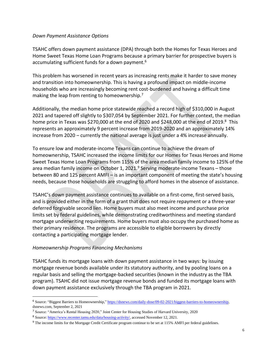#### *Down Payment Assistance Options*

TSAHC offers down payment assistance (DPA) through both the Homes for Texas Heroes and Home Sweet Texas Home Loan Programs because a primary barrier for prospective buyers is accumulating sufficient funds for a down payment.<sup>6</sup>

This problem has worsened in recent years as increasing rents make it harder to save money and transition into homeownership. This is having a profound impact on middle-income households who are increasingly becoming rent cost-burdened and having a difficult time making the leap from renting to homeownership.<sup>7</sup>

Additionally, the median home price statewide reached a record high of \$310,000 in August 2021 and tapered off slightly to \$307,054 by September 2021. For further context, the median home price in Texas was \$270,000 at the end of 2020 and \$248,000 at the end of 2019.<sup>8</sup> This represents an approximately 9 percent increase from 2019-2020 and an approximately 14% increase from 2020 – currently the national average is just under a 4% increase annually.

To ensure low and moderate-income Texans can continue to achieve the dream of homeownership, TSAHC increased the income limits for our Homes for Texas Heroes and Home Sweet Texas Home Loan Programs from 115% of the area median family income to 125% of the area median family income on October 1, 2021. $9$  Serving moderate-income Texans – those between 80 and 125 percent AMFI – is an important component of meeting the state's housing needs, because those households are struggling to afford homes in the absence of assistance.

TSAHC's down payment assistance continues to available on a first-come, first-served basis, and is provided either in the form of a grant that does not require repayment or a three-year deferred forgivable second lien. Home buyers must also meet income and purchase price limits set by federal guidelines, while demonstrating creditworthiness and meeting standard mortgage underwriting requirements. Home buyers must also occupy the purchased home as their primary residence. The programs are accessible to eligible borrowers by directly contacting a participating mortgage lender.

#### *Homeownership Programs Financing Mechanisms*

TSAHC funds its mortgage loans with down payment assistance in two ways: by issuing mortgage revenue bonds available under its statutory authority, and by pooling loans on a regular basis and selling the mortgage-backed securities (known in the industry as the TBA program). TSAHC did not issue mortgage revenue bonds and funded its mortgage loans with down payment assistance exclusively through the TBA program in 2021.

<sup>6</sup> Source: "Biggest Barriers to Homeownership," [https://dsnews.com/daily-dose/09-02-2021/biggest-barriers-to-homeownership,](https://dsnews.com/daily-dose/09-02-2021/biggest-barriers-to-homeownership)  dsnews.com, September 2, 2021

<sup>7</sup> Source: "America's Rental Housing 2020," Joint Center for Housing Studies of Harvard University, 2020

<sup>8</sup> Source[: https://www.recenter.tamu.edu/data/housing-activity/,](https://www.recenter.tamu.edu/data/housing-activity/) accessed November 12, 2021.

<sup>&</sup>lt;sup>9</sup> The income limits for the Mortgage Credit Certificate program continue to be set at 115% AMFI per federal guidelines.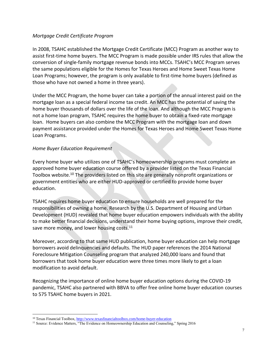### *Mortgage Credit Certificate Program*

In 2008, TSAHC established the Mortgage Credit Certificate (MCC) Program as another way to assist first-time home buyers. The MCC Program is made possible under IRS rules that allow the conversion of single-family mortgage revenue bonds into MCCs. TSAHC's MCC Program serves the same populations eligible for the Homes for Texas Heroes and Home Sweet Texas Home Loan Programs; however, the program is only available to first-time home buyers (defined as those who have not owned a home in three years).

Under the MCC Program, the home buyer can take a portion of the annual interest paid on the mortgage loan as a special federal income tax credit. An MCC has the potential of saving the home buyer thousands of dollars over the life of the loan. And although the MCC Program is not a home loan program, TSAHC requires the home buyer to obtain a fixed-rate mortgage loan. Home buyers can also combine the MCC Program with the mortgage loan and down payment assistance provided under the Homes for Texas Heroes and Home Sweet Texas Home Loan Programs.

#### *Home Buyer Education Requirement*

Every home buyer who utilizes one of TSAHC's homeownership programs must complete an approved home buyer education course offered by a provider listed on the Texas Financial Toolbox website.<sup>10</sup> The providers listed on this site are generally nonprofit organizations or government entities who are either HUD-approved or certified to provide home buyer education.

TSAHC requires home buyer education to ensure households are well prepared for the responsibilities of owning a home. Research by the U.S. Department of Housing and Urban Development (HUD) revealed that home buyer education empowers individuals with the ability to make better financial decisions, understand their home buying options, improve their credit, save more money, and lower housing costs.<sup>11</sup>

Moreover, according to that same HUD publication, home buyer education can help mortgage borrowers avoid delinquencies and defaults. The HUD paper references the 2014 National Foreclosure Mitigation Counseling program that analyzed 240,000 loans and found that borrowers that took home buyer education were three times more likely to get a loan modification to avoid default.

Recognizing the importance of online home buyer education options during the COVID-19 pandemic, TSAHC also partnered with BBVA to offer free online home buyer education courses to 575 TSAHC home buyers in 2021.

<sup>10</sup> Texas Financial Toolbox,<http://www.texasfinancialtoolbox.com/home-buyer-education>

<sup>&</sup>lt;sup>11</sup> Source: Evidence Matters, "The Evidence on Homeownership Education and Counseling," Spring 2016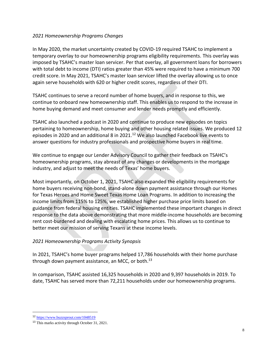### *2021 Homeownership Programs Changes*

In May 2020, the market uncertainty created by COVID-19 required TSAHC to implement a temporary overlay to our homeownership programs eligibility requirements. This overlay was imposed by TSAHC's master loan servicer. Per that overlay, all government loans for borrowers with total debt to income (DTI) ratios greater than 45% were required to have a minimum 700 credit score. In May 2021, TSAHC's master loan servicer lifted the overlay allowing us to once again serve households with 620 or higher credit scores, regardless of their DTI.

TSAHC continues to serve a record number of home buyers, and in response to this, we continue to onboard new homeownership staff. This enables us to respond to the increase in home buying demand and meet consumer and lender needs promptly and efficiently.

TSAHC also launched a podcast in 2020 and continue to produce new episodes on topics pertaining to homeownership, home buying and other housing related issues. We produced 12 episodes in 2020 and an additional 8 in 2021.<sup>12</sup> We also launched Facebook live events to answer questions for industry professionals and prospective home buyers in real time.

We continue to engage our Lender Advisory Council to gather their feedback on TSAHC's homeownership programs, stay abreast of any changes or developments in the mortgage industry, and adjust to meet the needs of Texas' home buyers.

Most importantly, on October 1, 2021, TSAHC also expanded the eligibility requirements for home buyers receiving non-bond, stand-alone down payment assistance through our Homes for Texas Heroes and Home Sweet Texas Home Loan Programs. In addition to increasing the income limits from 115% to 125%, we established higher purchase price limits based on guidance from federal housing entities. TSAHC implemented these important changes in direct response to the data above demonstrating that more middle-income households are becoming rent cost-burdened and dealing with escalating home prices. This allows us to continue to better meet our mission of serving Texans at these income levels.

# *2021 Homeownership Programs Activity Synopsis*

In 2021, TSAHC's home buyer programs helped 17,786 households with their home purchase through down payment assistance, an MCC, or both. $^{13}$ 

In comparison, TSAHC assisted 16,325 households in 2020 and 9,397 households in 2019. To date, TSAHC has served more than 72,211 households under our homeownership programs.

<sup>12</sup> <https://www.buzzsprout.com/1048519>

<sup>13</sup> This marks activity through October 31, 2021.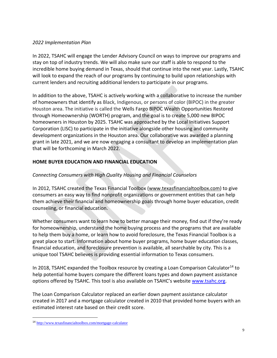### *2022 Implementation Plan*

In 2022, TSAHC will engage the Lender Advisory Council on ways to improve our programs and stay on top of industry trends. We will also make sure our staff is able to respond to the incredible home buying demand in Texas, should that continue into the next year. Lastly, TSAHC will look to expand the reach of our programs by continuing to build upon relationships with current lenders and recruiting additional lenders to participate in our programs.

In addition to the above, TSAHC is actively working with a collaborative to increase the number of homeowners that identify as Black, Indigenous, or persons of color (BIPOC) in the greater Houston area. The initiative is called the Wells Fargo BIPOC Wealth Opportunities Restored through Homeownership (WORTH) program, and the goal is to create 5,000 new BIPOC homeowners in Houston by 2025. TSAHC was approached by the Local Initiatives Support Corporation (LISC) to participate in the initiative alongside other housing and community development organizations in the Houston area. Our collaborative was awarded a planning grant in late 2021, and we are now engaging a consultant to develop an implementation plan that will be forthcoming in March 2022.

# **HOME BUYER EDUCATION AND FINANCIAL EDUCATION**

# *Connecting Consumers with High Quality Housing and Financial Counselors*

In 2012, TSAHC created the Texas Financial Toolbox [\(www.texasfinancialtoolbox.com\)](http://www.texasfinancialtoolbox.com/) to give consumers an easy way to find nonprofit organizations or government entities that can help them achieve their financial and homeownership goals through home buyer education, credit counseling, or financial education.

Whether consumers want to learn how to better manage their money, find out if they're ready for homeownership, understand the home buying process and the programs that are available to help them buy a home, or learn how to avoid foreclosure, the Texas Financial Toolbox is a great place to start. Information about home buyer programs, home buyer education classes, financial education, and foreclosure prevention is available, all searchable by city. This is a unique tool TSAHC believes is providing essential information to Texas consumers.

In 2018, TSAHC expanded the Toolbox resource by creating a Loan Comparison Calculator<sup>14</sup> to help potential home buyers compare the different loans types and down payment assistance options offered by TSAHC. This tool is also available on TSAHC's website [www.tsahc.org.](http://www.tsahc.org/)

The Loan Comparison Calculator replaced an earlier down payment assistance calculator created in 2017 and a mortgage calculator created in 2010 that provided home buyers with an estimated interest rate based on their credit score.

<sup>14</sup> <http://www.texasfinancialtoolbox.com/mortgage-calculator>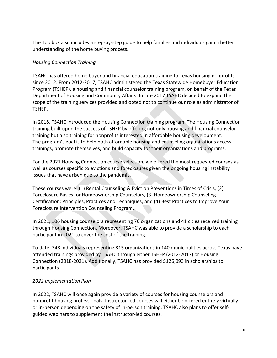The Toolbox also includes a step-by-step guide to help families and individuals gain a better understanding of the home buying process.

# *Housing Connection Training*

TSAHC has offered home buyer and financial education training to Texas housing nonprofits since 2012. From 2012-2017, TSAHC administered the Texas Statewide Homebuyer Education Program (TSHEP), a housing and financial counselor training program, on behalf of the Texas Department of Housing and Community Affairs. In late 2017 TSAHC decided to expand the scope of the training services provided and opted not to continue our role as administrator of TSHEP.

In 2018, TSAHC introduced the Housing Connection training program. The Housing Connection training built upon the success of TSHEP by offering not only housing and financial counselor training but also training for nonprofits interested in affordable housing development. The program's goal is to help both affordable housing and counseling organizations access trainings, promote themselves, and build capacity for their organizations and programs.

For the 2021 Housing Connection course selection, we offered the most requested courses as well as courses specific to evictions and foreclosures given the ongoing housing instability issues that have arisen due to the pandemic.

These courses were: [\(1\) Rental Counseling & Eviction Preventions in Times of Crisis,](https://www.neighborworks.org/Training-Services/Training-Professional-Development/Course?course=HO031) (2[\)](https://www.neighborworks.org/Training-Services/Training-Professional-Development/Course?course=HO250vc) [Foreclosure Basics for Homeownership Counselors, \(3\) Homeownership Counseling](https://www.neighborworks.org/Training-Services/Training-Professional-Development/Course?course=HO250vc)  [Certification: Principles, Practices and Techniques, and \(4\)](https://www.neighborworks.org/Training-Services/Training-Professional-Development/Course?course=HO250vc) [Best Practices to Improve Your](https://www.neighborworks.org/Training-Services/Training-Professional-Development/Course?course=HO347vc)  [Foreclosure Intervention Counseling Program.](https://www.neighborworks.org/Training-Services/Training-Professional-Development/Course?course=HO347vc)

In 2021, 106 housing counselors representing 76 organizations and 41 cities received training through Housing Connection. Moreover, TSAHC was able to provide a scholarship to each participant in 2021 to cover the cost of the training.

To date, 748 individuals representing 315 organizations in 140 municipalities across Texas have attended trainings provided by TSAHC through either TSHEP (2012-2017) or Housing Connection (2018-2021). Additionally, TSAHC has provided \$126,093 in scholarships to participants.

# *2022 Implementation Plan*

In 2022, TSAHC will once again provide a variety of courses for housing counselors and nonprofit housing professionals. Instructor-led courses will either be offered entirely virtually or in-person depending on the safety of in-person training. TSAHC also plans to offer selfguided webinars to supplement the instructor-led courses.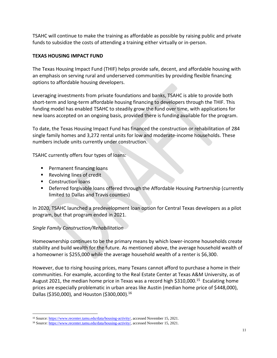TSAHC will continue to make the training as affordable as possible by raising public and private funds to subsidize the costs of attending a training either virtually or in-person.

# **TEXAS HOUSING IMPACT FUND**

The Texas Housing Impact Fund (THIF) helps provide safe, decent, and affordable housing with an emphasis on serving rural and underserved communities by providing flexible financing options to affordable housing developers.

Leveraging investments from private foundations and banks, TSAHC is able to provide both short-term and long-term affordable housing financing to developers through the THIF. This funding model has enabled TSAHC to steadily grow the fund over time, with applications for new loans accepted on an ongoing basis, provided there is funding available for the program.

To date, the Texas Housing Impact Fund has financed the construction or rehabilitation of 284 single family homes and 3,272 rental units for low and moderate-income households. These numbers include units currently under construction.

TSAHC currently offers four types of loans:

- Permanent financing loans
- Revolving lines of credit
- Construction loans
- Deferred forgivable loans offered through the Affordable Housing Partnership (currently limited to Dallas and Travis counties)

In 2020, TSAHC launched a predevelopment loan option for Central Texas developers as a pilot program, but that program ended in 2021.

# *Single Family Construction/Rehabilitation*

Homeownership continues to be the primary means by which lower-income households create stability and build wealth for the future. As mentioned above, the average household wealth of a homeowner is \$255,000 while the average household wealth of a renter is \$6,300.

However, due to rising housing prices, many Texans cannot afford to purchase a home in their communities. For example, according to the Real Estate Center at Texas A&M University, as of August 2021, the median home price in Texas was a record high \$310,000.<sup>15</sup> Escalating home prices are especially problematic in urban areas like Austin (median home price of \$448,000), Dallas (\$350,000), and Houston (\$300,000).<sup>16</sup>

<sup>15</sup> Source[: https://www.recenter.tamu.edu/data/housing-activity/,](https://www.recenter.tamu.edu/data/housing-activity/) accessed November 15, 2021.

<sup>16</sup> Source[: https://www.recenter.tamu.edu/data/housing-activity/,](https://www.recenter.tamu.edu/data/housing-activity/) accessed November 15, 2021.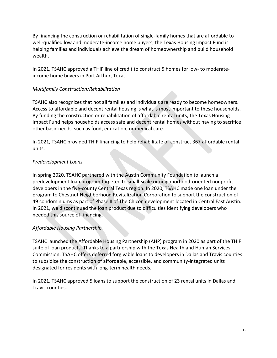By financing the construction or rehabilitation of single-family homes that are affordable to well-qualified low and moderate-income home buyers, the Texas Housing Impact Fund is helping families and individuals achieve the dream of homeownership and build household wealth.

In 2021, TSAHC approved a THIF line of credit to construct 5 homes for low- to moderateincome home buyers in Port Arthur, Texas.

# *Multifamily Construction/Rehabilitation*

TSAHC also recognizes that not all families and individuals are ready to become homeowners. Access to affordable and decent rental housing is what is most important to these households. By funding the construction or rehabilitation of affordable rental units, the Texas Housing Impact Fund helps households access safe and decent rental homes without having to sacrifice other basic needs, such as food, education, or medical care.

In 2021, TSAHC provided THIF financing to help rehabilitate or construct 367 affordable rental units.

# *Predevelopment Loans*

In spring 2020, TSAHC partnered with the Austin Community Foundation to launch a predevelopment loan program targeted to small-scale or neighborhood-oriented nonprofit developers in the five-county Central Texas region. In 2020, TSAHC made one loan under the program to Chestnut Neighborhood Revitalization Corporation to support the construction of 49 condominiums as part of Phase II of The Chicon development located in Central East Austin. In 2021, we discontinued the loan product due to difficulties identifying developers who needed this source of financing.

# *Affordable Housing Partnership*

TSAHC launched the Affordable Housing Partnership (AHP) program in 2020 as part of the THIF suite of loan products. Thanks to a partnership with the Texas Health and Human Services Commission, TSAHC offers deferred forgivable loans to developers in Dallas and Travis counties to subsidize the construction of affordable, accessible, and community-integrated units designated for residents with long-term health needs.

In 2021, TSAHC approved 5 loans to support the construction of 23 rental units in Dallas and Travis counties.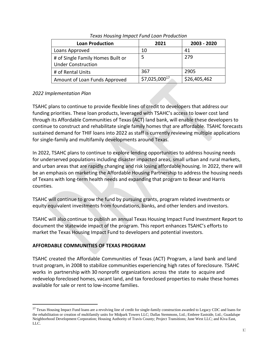| <b>Loan Production</b>                                         | 2021          | 2003 - 2020  |
|----------------------------------------------------------------|---------------|--------------|
| Loans Approved                                                 | 10            | 41           |
| # of Single Family Homes Built or<br><b>Under Construction</b> |               | 279          |
| # of Rental Units                                              | 367           | 2905         |
| Amount of Loan Funds Approved                                  | \$7,025,00017 | \$26,405,462 |

### *Texas Housing Impact Fund Loan Production*

# *2022 Implementation Plan*

TSAHC plans to continue to provide flexible lines of credit to developers that address our funding priorities. These loan products, leveraged with TSAHC's access to lower cost land through its Affordable Communities of Texas (ACT) land bank, will enable these developers to continue to construct and rehabilitate single family homes that are affordable. TSAHC forecasts sustained demand for THIF loans into 2022 as staff is currently reviewing multiple applications for single-family and multifamily developments around Texas.

In 2022, TSAHC plans to continue to explore lending opportunities to address housing needs for underserved populations including disaster impacted areas, small urban and rural markets, and urban areas that are rapidly changing and risk losing affordable housing. In 2022, there will be an emphasis on marketing the Affordable Housing Partnership to address the housing needs of Texans with long-term health needs and expanding that program to Bexar and Harris counties.

TSAHC will continue to grow the fund by pursuing grants, program related investments or equity equivalent investments from foundations, banks, and other lenders and investors.

TSAHC will also continue to publish an annual Texas Housing Impact Fund Investment Report to document the statewide impact of the program. This report enhances TSAHC's efforts to market the Texas Housing Impact Fund to developers and potential investors.

# **AFFORDABLE COMMUNITIES OF TEXAS PROGRAM**

TSAHC created the Affordable Communities of Texas (ACT) Program, a land bank and land trust program, in 2008 to stabilize communities experiencing high rates of foreclosure. TSAHC works in partnership with 30 nonprofit organizations across the state to acquire and redevelop foreclosed homes, vacant land, and tax foreclosed properties to make these homes available for sale or rent to low-income families.

<sup>&</sup>lt;sup>17</sup> Texas Housing Impact Fund loans are a revolving line of credit for single-family construction awarded to Legacy CDC and loans for the rehabilitation or creation of multifamily units for Midpark Towers LLC; Dallas Stemmons, Ltd.; Embree Eastside, Ltd.; Guadalupe Neighborhood Development Corporation; Housing Authority of Travis County; Project Transitions; June West LLC; and Kiva East, LLC.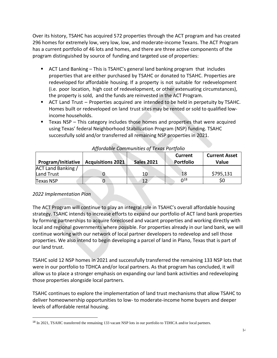Over its history, TSAHC has acquired 572 properties through the ACT program and has created 296 homes for extremely low, very low, low, and moderate-income Texans. The ACT Program has a current portfolio of 46 lots and homes, and there are three active components of the program distinguished by source of funding and targeted use of properties:

- ACT Land Banking This is TSAHC's general land banking program that includes properties that are either purchased by TSAHC or donated to TSAHC. Properties are redeveloped for affordable housing. If a property is not suitable for redevelopment (i.e. poor location, high cost of redevelopment, or other extenuating circumstances), the property is sold, and the funds are reinvested in the ACT Program.
- ACT Land Trust Properties acquired are intended to be held in perpetuity by TSAHC. Homes built or redeveloped on land trust sites may be rented or sold to qualified lowincome households.
- Texas NSP This category includes those homes and properties that were acquired using Texas' federal Neighborhood Stabilization Program (NSP) funding. TSAHC successfully sold and/or transferred all remaining NSP properties in 2021.

| <b>Program/Initiative   Acquisitions 2021</b> | <b>Sales 2021</b> | Current<br>Portfolio   | <b>Current Asset</b><br><b>Value</b> |
|-----------------------------------------------|-------------------|------------------------|--------------------------------------|
| ACT Land Banking /                            |                   |                        |                                      |
| Land Trust                                    | 10                | 18                     | \$795,131                            |
| <b>Texas NSP</b>                              | 12                | $\Omega$ <sup>18</sup> | Ş0                                   |

# *Affordable Communities of Texas Portfolio*

# *2022 Implementation Plan*

The ACT Program will continue to play an integral role in TSAHC's overall affordable housing strategy. TSAHC intends to increase efforts to expand our portfolio of ACT land bank properties by forming partnerships to acquire foreclosed and vacant properties and working directly with local and regional governments where possible. For properties already in our land bank, we will continue working with our network of local partner developers to redevelop and sell those properties. We also intend to begin developing a parcel of land in Plano, Texas that is part of our land trust.

TSAHC sold 12 NSP homes in 2021 and successfully transferred the remaining 133 NSP lots that were in our portfolio to TDHCA and/or local partners. As that program has concluded, it will allow us to place a stronger emphasis on expanding our land bank activities and redeveloping those properties alongside local partners.

TSAHC continues to explore the implementation of land trust mechanisms that allow TSAHC to deliver homeownership opportunities to low- to moderate-income home buyers and deeper levels of affordable rental housing.

<sup>&</sup>lt;sup>18</sup> In 2021, TSAHC transferred the remaining 133 vacant NSP lots in our portfolio to TDHCA and/or local partners.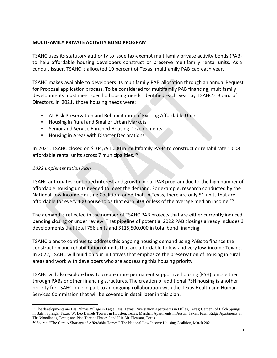#### **MULTIFAMILY PRIVATE ACTIVITY BOND PROGRAM**

TSAHC uses its statutory authority to issue tax-exempt multifamily private activity bonds (PAB) to help affordable housing developers construct or preserve multifamily rental units. As a conduit issuer, TSAHC is allocated 10 percent of Texas' multifamily PAB cap each year.

TSAHC makes available to developers its multifamily PAB allocation through an annual Request for Proposal application process. To be considered for multifamily PAB financing, multifamily developments must meet specific housing needs identified each year by TSAHC's Board of Directors. In 2021, those housing needs were:

- At-Risk Preservation and Rehabilitation of Existing Affordable Units
- Housing in Rural and Smaller Urban Markets
- Senior and Service Enriched Housing Developments
- **EXEC** Housing in Areas with Disaster Declarations

In 2021, TSAHC closed on \$104,791,000 in multifamily PABs to construct or rehabilitate 1,008 affordable rental units across 7 municipalities.<sup>19</sup>

# *2022 Implementation Plan*

TSAHC anticipates continued interest and growth in our PAB program due to the high number of affordable housing units needed to meet the demand. For example, research conducted by the National Low Income Housing Coalition found that, in Texas, there are only 51 units that are affordable for every 100 households that earn 50% or less of the average median income.<sup>20</sup>

The demand is reflected in the number of TSAHC PAB projects that are either currently induced, pending closing or under review. That pipeline of potential 2022 PAB closings already includes 3 developments that total 756 units and \$115,500,000 in total bond financing.

TSAHC plans to continue to address this ongoing housing demand using PABs to finance the construction and rehabilitation of units that are affordable to low and very low-income Texans. In 2022, TSAHC will build on our initiatives that emphasize the preservation of housing in rural areas and work with developers who are addressing this housing priority.

TSAHC will also explore how to create more permanent supportive housing (PSH) units either through PABs or other financing structures. The creation of additional PSH housing is another priority for TSAHC, due in part to an ongoing collaboration with the Texas Health and Human Services Commission that will be covered in detail later in this plan.

<sup>&</sup>lt;sup>19</sup> The developments are Las Palmas Village in Eagle Pass, Texas; Riverstation Apartments in Dallas, Texas; Gardens of Balch Springs in Balch Springs, Texas; W. Leo Daniels Towers in Houston, Texas; Marshall Apartments in Austin, Texas; Fawn Ridge Apartments in The Woodlands, Texas; and Pine Terrace Phases I and II in Mt. Pleasant, Texas.

<sup>20</sup> Source: "The Gap: A Shortage of Affordable Homes," The National Low Income Housing Coalition, March 2021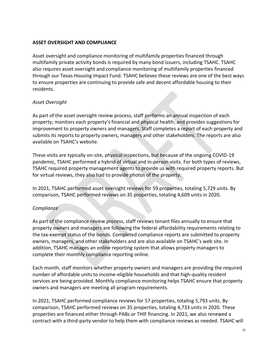### **ASSET OVERSIGHT AND COMPLIANCE**

Asset oversight and compliance monitoring of multifamily properties financed through multifamily private activity bonds is required by many bond issuers, including TSAHC. TSAHC also requires asset oversight and compliance monitoring of multifamily properties financed through our Texas Housing Impact Fund. TSAHC believes these reviews are one of the best ways to ensure properties are continuing to provide safe and decent affordable housing to their residents.

### *Asset Oversight*

As part of the asset oversight review process, staff performs an annual inspection of each property; monitors each property's financial and physical health; and provides suggestions for improvement to property owners and managers. Staff completes a report of each property and submits its reports to property owners, managers and other stakeholders. The reports are also available on TSAHC's website.

These visits are typically on-site, physical inspections, but because of the ongoing COVID-19 pandemic, TSAHC performed a hybrid of virtual and in-person visits. For both types of reviews, TSAHC required property management agents to provide us with required property reports. But for virtual reviews, they also had to provide photos of the property.

In 2021, TSAHC performed asset oversight reviews for 59 properties, totaling 5,729 units. By comparison, TSAHC performed reviews on 35 properties, totaling 4,609 units in 2020.

#### *Compliance*

As part of the compliance review process, staff reviews tenant files annually to ensure that property owners and managers are following the federal affordability requirements relating to the tax-exempt status of the bonds. Completed compliance reports are submitted to property owners, managers, and other stakeholders and are also available on TSAHC's web site. In addition, TSAHC manages an online reporting system that allows property managers to complete their monthly compliance reporting online.

Each month, staff monitors whether property owners and managers are providing the required number of affordable units to income-eligible households and that high-quality resident services are being provided. Monthly compliance monitoring helps TSAHC ensure that property owners and managers are meeting all program requirements.

In 2021, TSAHC performed compliance reviews for 57 properties, totaling 5,793 units. By comparison, TSAHC performed reviews on 35 properties, totaling 4,733 units in 2020. These properties are financed either through PABs or THIF financing. In 2021, we also renewed a contract with a third-party vendor to help them with compliance reviews as needed. TSAHC will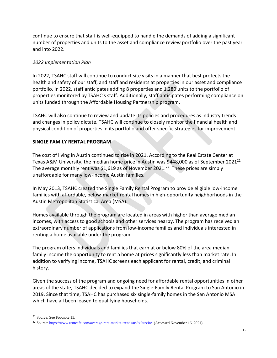continue to ensure that staff is well-equipped to handle the demands of adding a significant number of properties and units to the asset and compliance review portfolio over the past year and into 2022.

# *2022 Implementation Plan*

In 2022, TSAHC staff will continue to conduct site visits in a manner that best protects the health and safety of our staff, and staff and residents at properties in our asset and compliance portfolio. In 2022, staff anticipates adding 8 properties and 1,280 units to the portfolio of properties monitored by TSAHC's staff. Additionally, staff anticipates performing compliance on units funded through the Affordable Housing Partnership program.

TSAHC will also continue to review and update its policies and procedures as industry trends and changes in policy dictate. TSAHC will continue to closely monitor the financial health and physical condition of properties in its portfolio and offer specific strategies for improvement.

# **SINGLE FAMILY RENTAL PROGRAM**

The cost of living in Austin continued to rise in 2021. According to the Real Estate Center at Texas A&M University, the median home price in Austin was \$448,000 as of September 2021<sup>21</sup> The average monthly rent was \$1,619 as of November 2021.<sup>22</sup> These prices are simply unaffordable for many low-income Austin families.

In May 2013, TSAHC created the Single Family Rental Program to provide eligible low-income families with affordable, below-market rental homes in high-opportunity neighborhoods in the Austin Metropolitan Statistical Area (MSA).

Homes available through the program are located in areas with higher than average median incomes, with access to good schools and other services nearby. The program has received an extraordinary number of applications from low-income families and individuals interested in renting a home available under the program.

The program offers individuals and families that earn at or below 80% of the area median family income the opportunity to rent a home at prices significantly less than market rate. In addition to verifying income, TSAHC screens each applicant for rental, credit, and criminal history.

Given the success of the program and ongoing need for affordable rental opportunities in other areas of the state, TSAHC decided to expand the Single-Family Rental Program to San Antonio in 2019. Since that time, TSAHC has purchased six single-family homes in the San Antonio MSA which have all been leased to qualifying households.

<sup>21</sup> Source: See Footnote 15.

<sup>&</sup>lt;sup>22</sup> Source:<https://www.rentcafe.com/average-rent-market-trends/us/tx/austin/> (Accessed November 16, 2021)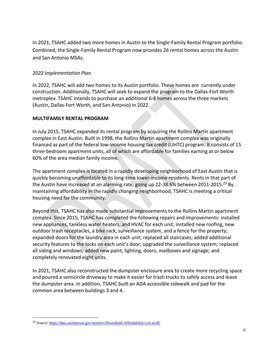In 2021, TSAHC added two more homes in Austin to the Single-Family Rental Program portfolio. Combined, the Single-Family Rental Program now provides 26 rental homes across the Austin and San Antonio MSAs.

# *2022 Implementation Plan*

In 2022, TSAHC will add two homes to its Austin portfolio. These homes are currently under construction. Additionally, TSAHC will seek to expand the program to the Dallas-Fort Worth metroplex. TSAHC intends to purchase an additional 6-8 homes across the three markets (Austin, Dallas-Fort Worth, and San Antonio) in 2022.

#### **MULTIFAMILY RENTAL PROGRAM**

In July 2015, TSAHC expanded its rental program by acquiring the Rollins Martin apartment complex in East Austin. Built in 1998, the Rollins Martin apartment complex was originally financed as part of the federal low-income housing tax credit (LIHTC) program. It consists of 15 three-bedroom apartment units, all of which are affordable for families earning at or below 60% of the area median family income.

The apartment complex is located in a rapidly developing neighborhood of East Austin that is quickly becoming unaffordable to its long-time lower-income residents. Rents in that part of the Austin have increased at an alarming rate, going up 22-38.6% between 2011-2015.<sup>23</sup> By maintaining affordability in the rapidly changing neighborhood, TSAHC is meeting a critical housing need for the community.

Beyond this, TSAHC has also made substantial improvements to the Rollins Martin apartment complex. Since 2015, TSAHC has completed the following repairs and improvements: installed new appliances, tankless water heaters, and HVAC for each unit; installed new roofing, new outdoor trash receptacles, a bike rack, surveillance system, and a fence for the property; expanded doors for the laundry area in each unit; replaced all staircases; added additional security features to the locks on each unit's door; upgraded the surveillance system; replaced all siding and windows; added new paint, lighting, doors, mailboxes and signage; and completely renovated eight units.

In 2021, TSAHC also reconstructed the dumpster enclosure area to create more recycling space and poured a semicircle driveway to make it easier for trash trucks to safely access and leave the dumpster area. In addition, TSAHC built an ADA accessible sidewalk and pad for the common area between buildings 3 and 4.

<sup>23</sup> Source:<https://data.austintexas.gov/stories/s/Household-Affordability/czit-acu8/>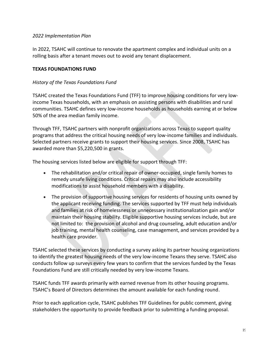### *2022 Implementation Plan*

In 2022, TSAHC will continue to renovate the apartment complex and individual units on a rolling basis after a tenant moves out to avoid any tenant displacement.

#### **TEXAS FOUNDATIONS FUND**

#### *History of the Texas Foundations Fund*

TSAHC created the Texas Foundations Fund (TFF) to improve housing conditions for very lowincome Texas households, with an emphasis on assisting persons with disabilities and rural communities. TSAHC defines very low-income households as households earning at or below 50% of the area median family income.

Through TFF, TSAHC partners with nonprofit organizations across Texas to support quality programs that address the critical housing needs of very low-income families and individuals. Selected partners receive grants to support their housing services. Since 2008, TSAHC has awarded more than \$5,220,500 in grants.

The housing services listed below are eligible for support through TFF:

- The rehabilitation and/or critical repair of owner-occupied, single family homes to remedy unsafe living conditions. Critical repairs may also include accessibility modifications to assist household members with a disability.
- The provision of supportive housing services for residents of housing units owned by the applicant receiving funding. The services supported by TFF must help individuals and families at risk of homelessness or unnecessary institutionalization gain and/or maintain their housing stability. Eligible supportive housing services include, but are not limited to: the provision of alcohol and drug counseling, adult education and/or job training, mental health counseling, case management, and services provided by a health care provider.

TSAHC selected these services by conducting a survey asking its partner housing organizations to identify the greatest housing needs of the very low-income Texans they serve. TSAHC also conducts follow up surveys every few years to confirm that the services funded by the Texas Foundations Fund are still critically needed by very low-income Texans.

TSAHC funds TFF awards primarily with earned revenue from its other housing programs. TSAHC's Board of Directors determines the amount available for each funding round.

Prior to each application cycle, TSAHC publishes TFF Guidelines for public comment, giving stakeholders the opportunity to provide feedback prior to submitting a funding proposal.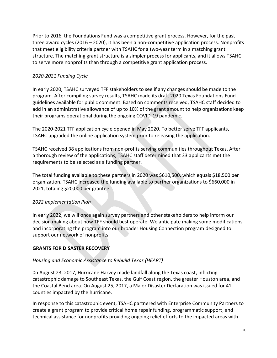Prior to 2016, the Foundations Fund was a competitive grant process. However, for the past three award cycles (2016 – 2020), it has been a non-competitive application process. Nonprofits that meet eligibility criteria partner with TSAHC for a two-year term in a matching grant structure. The matching grant structure is a simpler process for applicants, and it allows TSAHC to serve more nonprofits than through a competitive grant application process.

# *2020-2021 Funding Cycle*

In early 2020, TSAHC surveyed TFF stakeholders to see if any changes should be made to the program. After compiling survey results, TSAHC made its draft 2020 Texas Foundations Fund guidelines available for public comment. Based on comments received, TSAHC staff decided to add in an administrative allowance of up to 10% of the grant amount to help organizations keep their programs operational during the ongoing COVID-19 pandemic.

The 2020-2021 TFF application cycle opened in May 2020. To better serve TFF applicants, TSAHC upgraded the online application system prior to releasing the application.

TSAHC received 38 applications from non-profits serving communities throughout Texas. After a thorough review of the applications, TSAHC staff determined that 33 applicants met the requirements to be selected as a funding partner.

The total funding available to these partners in 2020 was \$610,500, which equals \$18,500 per organization. TSAHC increased the funding available to partner organizations to \$660,000 in 2021, totaling \$20,000 per grantee.

# *2022 Implementation Plan*

In early 2022, we will once again survey partners and other stakeholders to help inform our decision making about how TFF should best operate. We anticipate making some modifications and incorporating the program into our broader Housing Connection program designed to support our network of nonprofits.

# **GRANTS FOR DISASTER RECOVERY**

# *Housing and Economic Assistance to Rebuild Texas (HEART)*

0n August 23, 2017, Hurricane Harvey made landfall along the Texas coast, inflicting catastrophic damage to Southeast Texas, the Gulf Coast region, the greater Houston area, and the Coastal Bend area. On August 25, 2017, a Major Disaster Declaration was issued for 41 counties impacted by the hurricane.

In response to this catastrophic event, TSAHC partnered with Enterprise Community Partners to create a grant program to provide critical home repair funding, programmatic support, and technical assistance for nonprofits providing ongoing relief efforts to the impacted areas with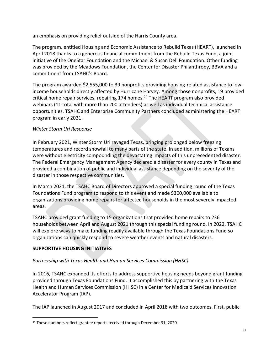an emphasis on providing relief outside of the Harris County area.

The program, entitled Housing and Economic Assistance to Rebuild Texas (HEART), launched in April 2018 thanks to a generous financial commitment from the Rebuild Texas Fund, a joint initiative of the OneStar Foundation and the Michael & Susan Dell Foundation. Other funding was provided by the Meadows Foundation, the Center for Disaster Philanthropy, BBVA and a commitment from TSAHC's Board.

The program awarded \$2,555,000 to 39 nonprofits providing housing-related assistance to lowincome households directly affected by Hurricane Harvey. Among those nonprofits, 19 provided critical home repair services, repairing 174 homes. <sup>24</sup> The HEART program also provided webinars (11 total with more than 200 attendees) as well as individual technical assistance opportunities. TSAHC and Enterprise Community Partners concluded administering the HEART program in early 2021.

# *Winter Storm Uri Response*

In February 2021, Winter Storm Uri ravaged Texas, bringing prolonged below freezing temperatures and record snowfall to many parts of the state. In addition, millions of Texans were without electricity compounding the devastating impacts of this unprecedented disaster. The Federal Emergency Management Agency declared a disaster for every county in Texas and provided a combination of public and individual assistance depending on the severity of the disaster in those respective communities.

In March 2021, the TSAHC Board of Directors approved a special funding round of the Texas Foundations Fund program to respond to this event and made \$300,000 available to organizations providing home repairs for affected households in the most severely impacted areas.

TSAHC provided grant funding to 15 organizations that provided home repairs to 236 households between April and August 2021 through this special funding round. In 2022, TSAHC will explore ways to make funding readily available through the Texas Foundations Fund so organizations can quickly respond to severe weather events and natural disasters.

# **SUPPORTIVE HOUSING INITIATIVES**

# *Partnership with Texas Health and Human Services Commission (HHSC)*

In 2016, TSAHC expanded its efforts to address supportive housing needs beyond grant funding provided through Texas Foundations Fund. It accomplished this by partnering with the Texas Health and Human Services Commission (HHSC) in a Center for Medicaid Services Innovation Accelerator Program (IAP).

The IAP launched in August 2017 and concluded in April 2018 with two outcomes. First, public

<sup>&</sup>lt;sup>24</sup> These numbers reflect grantee reports received through December 31, 2020.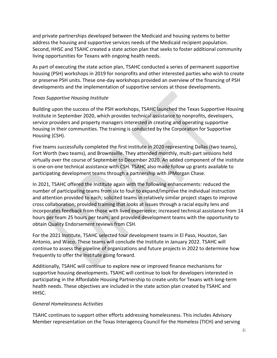and private partnerships developed between the Medicaid and housing systems to better address the housing and supportive services needs of the Medicaid recipient population. Second, HHSC and TSAHC created a state action plan that seeks to foster additional community living opportunities for Texans with ongoing health needs.

As part of executing the state action plan, TSAHC conducted a series of permanent supportive housing (PSH) workshops in 2019 for nonprofits and other interested parties who wish to create or preserve PSH units. These one-day workshops provided an overview of the financing of PSH developments and the implementation of supportive services at those developments.

### *Texas Supportive Housing Institute*

Building upon the success of the PSH workshops, TSAHC launched the Texas Supportive Housing Institute in September 2020, which provides technical assistance to nonprofits, developers, service providers and property managers interested in creating and operating supportive housing in their communities. The training is conducted by the Corporation for Supportive Housing (CSH).

Five teams successfully completed the first institute in 2020 representing Dallas (two teams), Fort Worth (two teams), and Brownsville. They attended monthly, multi-part sessions held virtually over the course of September to December 2020. An added component of the institute is one-on-one technical assistance with CSH. TSAHC also made follow up grants available to participating development teams through a partnership with JPMorgan Chase.

In 2021, TSAHC offered the Institute again with the following enhancements: reduced the number of participating teams from six to four to expand/improve the individual instruction and attention provided to each; solicited teams in relatively similar project stages to improve cross collaboration; provided training that looks at issues through a racial equity lens and incorporates feedback from those with lived experience; increased technical assistance from 14 hours per team 25 hours per team; and provided development teams with the opportunity to obtain Quality Endorsement reviews from CSH.

For the 2021 Institute, TSAHC selected four development teams in El Paso, Houston, San Antonio, and Waco. These teams will conclude the Institute in January 2022. TSAHC will continue to assess the pipeline of organizations and future projects in 2022 to determine how frequently to offer the Institute going forward.

Additionally, TSAHC will continue to explore new or improved finance mechanisms for supportive housing developments. TSAHC will continue to look for developers interested in participating in the Affordable Housing Partnership to create units for Texans with long-term health needs. These objectives are included in the state action plan created by TSAHC and HHSC.

#### *General Homelessness Activities*

TSAHC continues to support other efforts addressing homelessness. This includes Advisory Member representation on the Texas Interagency Council for the Homeless (TICH) and serving